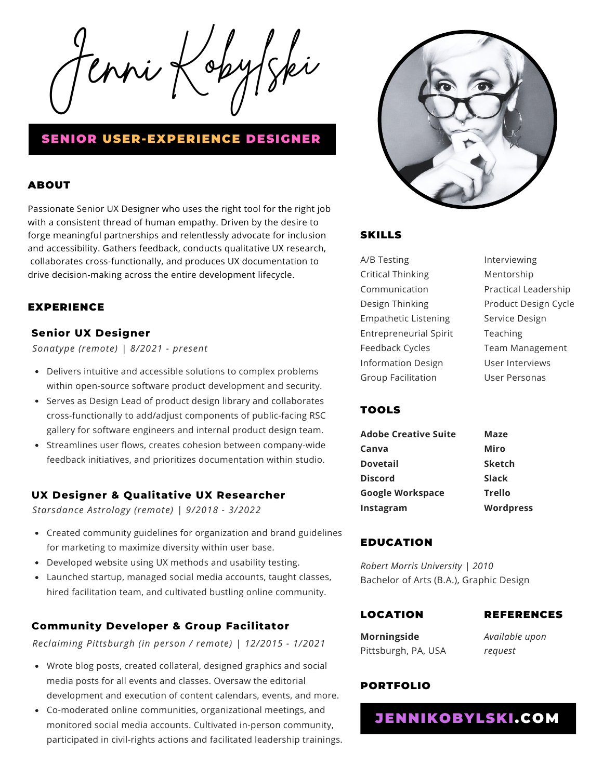$\ell$ nni Ko

# SENIOR USER-EXPERIENCE DESIGNER

### ABOUT

Passionate Senior UX Designer who uses the right tool for the right job with a consistent thread of human empathy. Driven by the desire to forge meaningful partnerships and relentlessly advocate for inclusion and accessibility. Gathers feedback, conducts qualitative UX research, collaborates cross-functionally, and produces UX documentation to drive decision-making across the entire development lifecycle.

### EXPERIENCE

### **Senior UX Designer**

*Sonatype (remote) | 8/2021 - present*

- Delivers intuitive and accessible solutions to complex problems within open-source software product development and security.
- Serves as Design Lead of product design library and collaborates cross-functionally to add/adjust components of public-facing RSC gallery for software engineers and internal product design team.
- Streamlines user flows, creates cohesion between company-wide feedback initiatives, and prioritizes documentation within studio.

#### **UX Designer & Qualitative UX Researcher**

*Starsdance Astrology (remote) | 9/2018 - 3/2022*

- Created community guidelines for organization and brand guidelines for marketing to maximize diversity within user base.
- Developed website using UX methods and usability testing.
- Launched startup, managed social media accounts, taught classes, hired facilitation team, and cultivated bustling online community.

### **[Community](https://www.reclaimingpgh.org/) Developer & Group Facilitator**

*Reclaiming Pittsburgh (in person / remote) | 12/2015 - 1/2021*

- Wrote blog posts, created collateral, designed graphics and social media posts for all events and classes. Oversaw the editorial development and execution of content calendars, events, and more.
- Co-moderated online communities, organizational meetings, and monitored social media accounts. Cultivated in-person community, participated in civil-rights actions and facilitated leadership trainings.



### SKILLS

A/B Testing Critical Thinking Communication Design Thinking Empathetic Listening Entrepreneurial Spirit Feedback Cycles Information Design Group Facilitation

Interviewing Mentorship Practical Leadership Product Design Cycle Service Design Teaching Team Management User Interviews User Personas

## **TOOLS**

| Adobe Creative Suite    | Maze             |
|-------------------------|------------------|
| Canva                   | Miro             |
| <b>Dovetail</b>         | <b>Sketch</b>    |
| <b>Discord</b>          | <b>Slack</b>     |
| <b>Google Workspace</b> | <b>Trello</b>    |
| Instagram               | <b>Wordpress</b> |
|                         |                  |

#### EDUCATION

*Robert Morris University | 2010* Bachelor of Arts (B.A.), Graphic Design

### LOCATION

#### REFERENCES

**Morningside** Pittsburgh, PA, USA

*Available upon request*

### PORTFOLIO

JENNIKOBYLSKI.COM